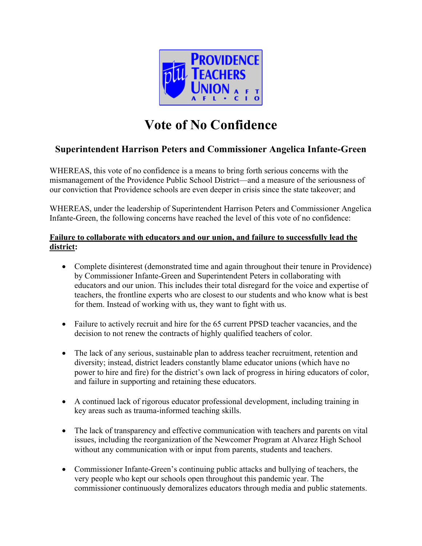

# **Vote of No Confidence**

## **Superintendent Harrison Peters and Commissioner Angelica Infante-Green**

WHEREAS, this vote of no confidence is a means to bring forth serious concerns with the mismanagement of the Providence Public School District—and a measure of the seriousness of our conviction that Providence schools are even deeper in crisis since the state takeover; and

WHEREAS, under the leadership of Superintendent Harrison Peters and Commissioner Angelica Infante-Green, the following concerns have reached the level of this vote of no confidence:

#### **Failure to collaborate with educators and our union, and failure to successfully lead the district:**

- Complete disinterest (demonstrated time and again throughout their tenure in Providence) by Commissioner Infante-Green and Superintendent Peters in collaborating with educators and our union. This includes their total disregard for the voice and expertise of teachers, the frontline experts who are closest to our students and who know what is best for them. Instead of working with us, they want to fight with us.
- Failure to actively recruit and hire for the 65 current PPSD teacher vacancies, and the decision to not renew the contracts of highly qualified teachers of color.
- The lack of any serious, sustainable plan to address teacher recruitment, retention and diversity; instead, district leaders constantly blame educator unions (which have no power to hire and fire) for the district's own lack of progress in hiring educators of color, and failure in supporting and retaining these educators.
- A continued lack of rigorous educator professional development, including training in key areas such as trauma-informed teaching skills.
- The lack of transparency and effective communication with teachers and parents on vital issues, including the reorganization of the Newcomer Program at Alvarez High School without any communication with or input from parents, students and teachers.
- Commissioner Infante-Green's continuing public attacks and bullying of teachers, the very people who kept our schools open throughout this pandemic year. The commissioner continuously demoralizes educators through media and public statements.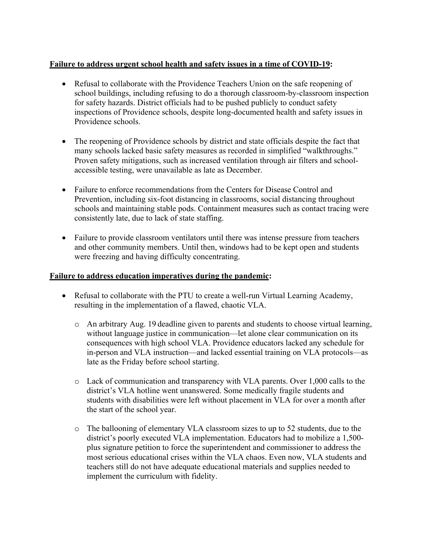#### **Failure to address urgent school health and safety issues in a time of COVID-19:**

- Refusal to collaborate with the Providence Teachers Union on the safe reopening of school buildings, including refusing to do a thorough classroom-by-classroom inspection for safety hazards. District officials had to be pushed publicly to conduct safety inspections of Providence schools, despite long-documented health and safety issues in Providence schools.
- The reopening of Providence schools by district and state officials despite the fact that many schools lacked basic safety measures as recorded in simplified "walkthroughs." Proven safety mitigations, such as increased ventilation through air filters and schoolaccessible testing, were unavailable as late as December.
- Failure to enforce recommendations from the Centers for Disease Control and Prevention, including six-foot distancing in classrooms, social distancing throughout schools and maintaining stable pods. Containment measures such as contact tracing were consistently late, due to lack of state staffing.
- Failure to provide classroom ventilators until there was intense pressure from teachers and other community members. Until then, windows had to be kept open and students were freezing and having difficulty concentrating.

#### **Failure to address education imperatives during the pandemic:**

- Refusal to collaborate with the PTU to create a well-run Virtual Learning Academy, resulting in the implementation of a flawed, chaotic VLA.
	- o An arbitrary Aug. 19 deadline given to parents and students to choose virtual learning, without language justice in communication—let alone clear communication on its consequences with high school VLA. Providence educators lacked any schedule for in-person and VLA instruction—and lacked essential training on VLA protocols—as late as the Friday before school starting.
	- o Lack of communication and transparency with VLA parents. Over 1,000 calls to the district's VLA hotline went unanswered. Some medically fragile students and students with disabilities were left without placement in VLA for over a month after the start of the school year.
	- o The ballooning of elementary VLA classroom sizes to up to 52 students, due to the district's poorly executed VLA implementation. Educators had to mobilize a 1,500 plus signature petition to force the superintendent and commissioner to address the most serious educational crises within the VLA chaos. Even now, VLA students and teachers still do not have adequate educational materials and supplies needed to implement the curriculum with fidelity.